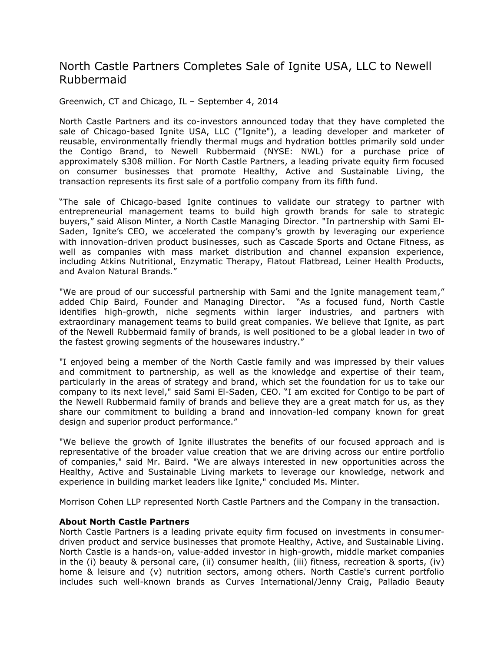## North Castle Partners Completes Sale of Ignite USA, LLC to Newell Rubbermaid

Greenwich, CT and Chicago, IL – September 4, 2014

North Castle Partners and its co-investors announced today that they have completed the sale of Chicago-based Ignite USA, LLC ("Ignite"), a leading developer and marketer of reusable, environmentally friendly thermal mugs and hydration bottles primarily sold under the Contigo Brand, to Newell Rubbermaid (NYSE: NWL) for a purchase price of approximately \$308 million. For North Castle Partners, a leading private equity firm focused on consumer businesses that promote Healthy, Active and Sustainable Living, the transaction represents its first sale of a portfolio company from its fifth fund.

"The sale of Chicago-based Ignite continues to validate our strategy to partner with entrepreneurial management teams to build high growth brands for sale to strategic buyers," said Alison Minter, a North Castle Managing Director. "In partnership with Sami El-Saden, Ignite's CEO, we accelerated the company's growth by leveraging our experience with innovation-driven product businesses, such as Cascade Sports and Octane Fitness, as well as companies with mass market distribution and channel expansion experience, including Atkins Nutritional, Enzymatic Therapy, Flatout Flatbread, Leiner Health Products, and Avalon Natural Brands."

"We are proud of our successful partnership with Sami and the Ignite management team," added Chip Baird, Founder and Managing Director. "As a focused fund, North Castle identifies high-growth, niche segments within larger industries, and partners with extraordinary management teams to build great companies. We believe that Ignite, as part of the Newell Rubbermaid family of brands, is well positioned to be a global leader in two of the fastest growing segments of the housewares industry."

"I enjoyed being a member of the North Castle family and was impressed by their values and commitment to partnership, as well as the knowledge and expertise of their team, particularly in the areas of strategy and brand, which set the foundation for us to take our company to its next level," said Sami El-Saden, CEO. "I am excited for Contigo to be part of the Newell Rubbermaid family of brands and believe they are a great match for us, as they share our commitment to building a brand and innovation-led company known for great design and superior product performance."

"We believe the growth of Ignite illustrates the benefits of our focused approach and is representative of the broader value creation that we are driving across our entire portfolio of companies," said Mr. Baird. "We are always interested in new opportunities across the Healthy, Active and Sustainable Living markets to leverage our knowledge, network and experience in building market leaders like Ignite," concluded Ms. Minter.

Morrison Cohen LLP represented North Castle Partners and the Company in the transaction.

## **About North Castle Partners**

North Castle Partners is a leading private equity firm focused on investments in consumerdriven product and service businesses that promote Healthy, Active, and Sustainable Living. North Castle is a hands-on, value-added investor in high-growth, middle market companies in the (i) beauty & personal care, (ii) consumer health, (iii) fitness, recreation & sports, (iv) home & leisure and (v) nutrition sectors, among others. North Castle's current portfolio includes such well-known brands as Curves International/Jenny Craig, Palladio Beauty